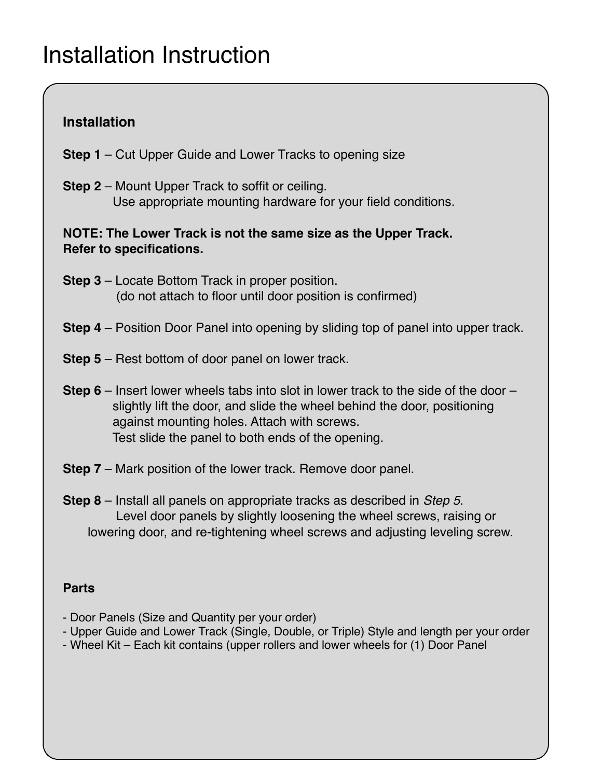## **Installation**

- **Step 1**  Cut Upper Guide and Lower Tracks to opening size
- **Step 2**  Mount Upper Track to soffit or ceiling. Use appropriate mounting hardware for your field conditions.

## **NOTE: The Lower Track is not the same size as the Upper Track. Refer to specifications.**

- **Step 3**  Locate Bottom Track in proper position. (do not attach to floor until door position is confirmed)
- **Step 4**  Position Door Panel into opening by sliding top of panel into upper track.
- **Step 5**  Rest bottom of door panel on lower track.
- **Step 6**  Insert lower wheels tabs into slot in lower track to the side of the door slightly lift the door, and slide the wheel behind the door, positioning against mounting holes. Attach with screws. Test slide the panel to both ends of the opening.
- **Step 7**  Mark position of the lower track. Remove door panel.
- **Step 8**  Install all panels on appropriate tracks as described in *Step 5*. Level door panels by slightly loosening the wheel screws, raising or lowering door, and re-tightening wheel screws and adjusting leveling screw.

## **Parts**

- Door Panels (Size and Quantity per your order)
- Upper Guide and Lower Track (Single, Double, or Triple) Style and length per your order
- Wheel Kit Each kit contains (upper rollers and lower wheels for (1) Door Panel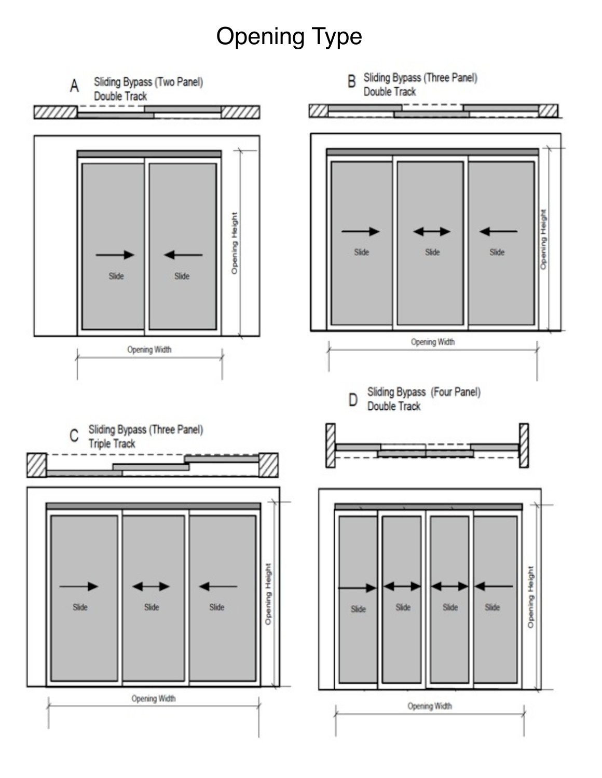# Opening Type

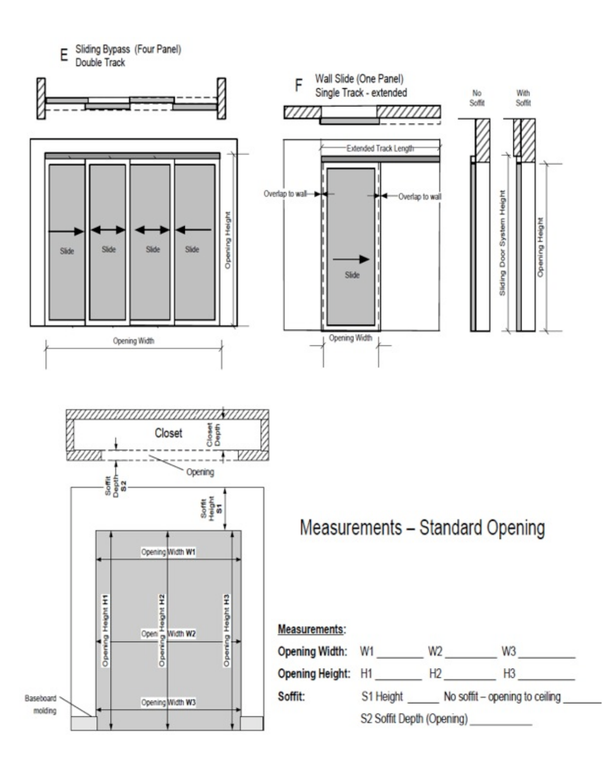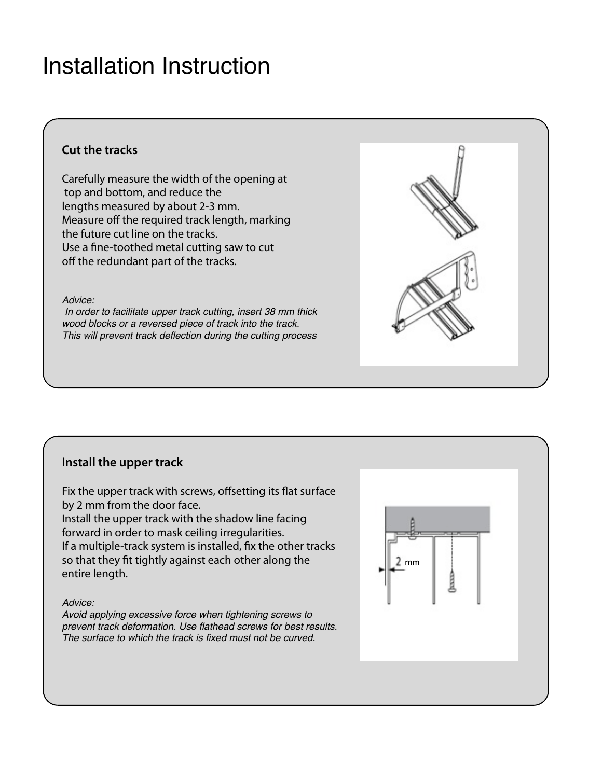### **Cut the tracks**

Carefully measure the width of the opening at top and bottom, and reduce the lengths measured by about 2-3 mm. Measure off the required track length, marking the future cut line on the tracks. Use a fine-toothed metal cutting saw to cut off the redundant part of the tracks.

#### *Advice:*

 *In order to facilitate upper track cutting, insert 38 mm thick wood blocks or a reversed piece of track into the track. This will prevent track deflection during the cutting process*

### **Install the upper track**

Fix the upper track with screws, offsetting its flat surface by 2 mm from the door face. Install the upper track with the shadow line facing forward in order to mask ceiling irregularities. If a multiple-track system is installed, fix the other tracks so that they fit tightly against each other along the entire length.

#### *Advice:*

*Avoid applying excessive force when tightening screws to prevent track deformation. Use flathead screws for best results. The surface to which the track is fixed must not be curved.*



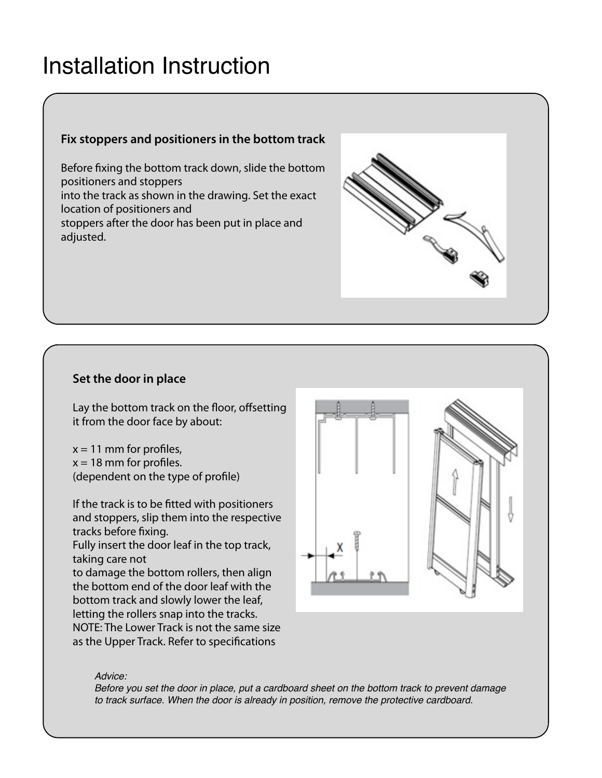### **Fix stoppers and positioners in the bottom track**

Before fixing the bottom track down, slide the bottom positioners and stoppers into the track as shown in the drawing. Set the exact location of positioners and stoppers after the door has been put in place and adjusted.



### **Set the door in place**

Lay the bottom track on the floor, offsetting it from the door face by about:

 $x = 11$  mm for profiles,  $x = 18$  mm for profiles. (dependent on the type of profile)

If the track is to be fitted with positioners and stoppers, slip them into the respective tracks before fixing.

Fully insert the door leaf in the top track, taking care not

to damage the bottom rollers, then align the bottom end of the door leaf with the bottom track and slowly lower the leaf, letting the rollers snap into the tracks. NOTE: The Lower Track is not the same size as the Upper Track. Refer to specifications



#### *Advice:*

*Before you set the door in place, put a cardboard sheet on the bottom track to prevent damage to track surface. When the door is already in position, remove the protective cardboard.*